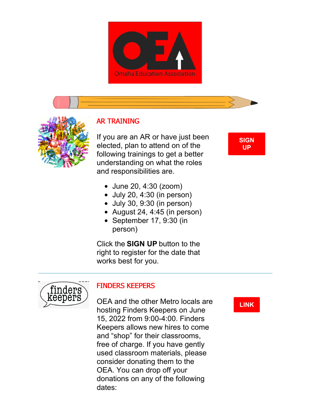



# AR TRAINING

If you are an AR or have just been elected, plan to attend on of the following trainings to get a better understanding on what the roles and responsibilities are.

**[SIGN](https://docs.google.com/forms/d/e/1FAIpQLSdfPcVfm1YSdYpdAkcYb7_MfnPPUeDW--3IJyaVmHsGK6Dy5Q/viewform) UP**

- June 20, 4:30 (zoom)
- $\bullet$  July 20, 4:30 (in person)
- $\bullet$  July 30, 9:30 (in person)
- August 24, 4:45 (in person)
- September 17, 9:30 (in person)

Click the **SIGN UP** button to the right to register for the date that works best for you.



#### FINDERS KEEPERS

OEA and the other Metro locals are hosting Finders Keepers on June 15, 2022 from 9:00-4:00. Finders Keepers allows new hires to come and "shop" for their classrooms, free of charge. If you have gently used classroom materials, please consider donating them to the OEA. You can drop off your donations on any of the following dates:

**[LINK](https://www.nsea.org/finders-keepers)**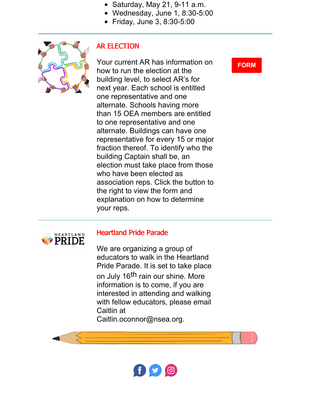- $\bullet$  Saturday, May 21, 9-11 a.m.
- Wednesday, June 1, 8:30-5:00
- Friday, June 3, 8:30-5:00



## AR ELECTION

Your current AR has information on how to run the election at the building level, to select AR's for next year. Each school is entitled one representative and one alternate. Schools having more than 15 OEA members are entitled to one representative and one alternate. Buildings can have one representative for every 15 or major fraction thereof. To identify who the building Captain shall be, an election must take place from those who have been elected as association reps. Click the button to the right to view the form and explanation on how to determine your reps.

## **[FORM](https://files.constantcontact.com/19d43ce5501/77ad0ed1-aae3-4045-a2f4-a7f6f89611c8.docx?rdr=true)**



#### Heartland Pride Parade

We are organizing a group of educators to walk in the Heartland Pride Parade. It is set to take place on July 16<sup>th</sup> rain our shine. More information is to come, if you are interested in attending and walking with fellow educators, please email Caitlin at Caitlin.oconnor@nsea.org.